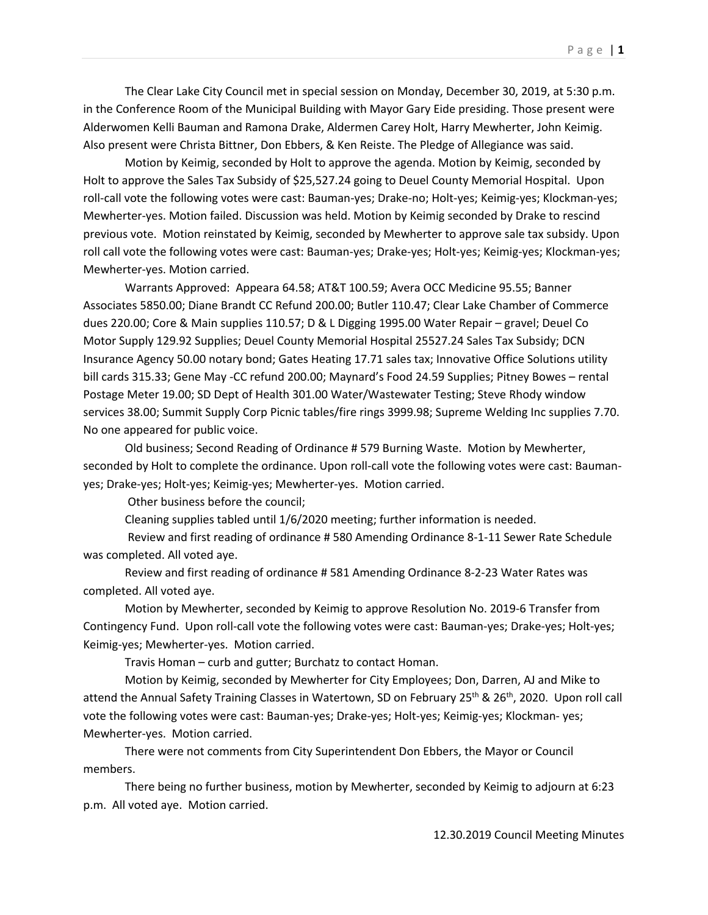The Clear Lake City Council met in special session on Monday, December 30, 2019, at 5:30 p.m. in the Conference Room of the Municipal Building with Mayor Gary Eide presiding. Those present were Alderwomen Kelli Bauman and Ramona Drake, Aldermen Carey Holt, Harry Mewherter, John Keimig. Also present were Christa Bittner, Don Ebbers, & Ken Reiste. The Pledge of Allegiance was said.

Motion by Keimig, seconded by Holt to approve the agenda. Motion by Keimig, seconded by Holt to approve the Sales Tax Subsidy of \$25,527.24 going to Deuel County Memorial Hospital. Upon roll-call vote the following votes were cast: Bauman-yes; Drake-no; Holt-yes; Keimig-yes; Klockman-yes; Mewherter-yes. Motion failed. Discussion was held. Motion by Keimig seconded by Drake to rescind previous vote. Motion reinstated by Keimig, seconded by Mewherter to approve sale tax subsidy. Upon roll call vote the following votes were cast: Bauman-yes; Drake-yes; Holt-yes; Keimig-yes; Klockman-yes; Mewherter-yes. Motion carried.

Warrants Approved: Appeara 64.58; AT&T 100.59; Avera OCC Medicine 95.55; Banner Associates 5850.00; Diane Brandt CC Refund 200.00; Butler 110.47; Clear Lake Chamber of Commerce dues 220.00; Core & Main supplies 110.57; D & L Digging 1995.00 Water Repair – gravel; Deuel Co Motor Supply 129.92 Supplies; Deuel County Memorial Hospital 25527.24 Sales Tax Subsidy; DCN Insurance Agency 50.00 notary bond; Gates Heating 17.71 sales tax; Innovative Office Solutions utility bill cards 315.33; Gene May -CC refund 200.00; Maynard's Food 24.59 Supplies; Pitney Bowes – rental Postage Meter 19.00; SD Dept of Health 301.00 Water/Wastewater Testing; Steve Rhody window services 38.00; Summit Supply Corp Picnic tables/fire rings 3999.98; Supreme Welding Inc supplies 7.70. No one appeared for public voice.

Old business; Second Reading of Ordinance # 579 Burning Waste. Motion by Mewherter, seconded by Holt to complete the ordinance. Upon roll-call vote the following votes were cast: Baumanyes; Drake-yes; Holt-yes; Keimig-yes; Mewherter-yes. Motion carried.

Other business before the council;

Cleaning supplies tabled until 1/6/2020 meeting; further information is needed.

 Review and first reading of ordinance # 580 Amending Ordinance 8-1-11 Sewer Rate Schedule was completed. All voted aye.

Review and first reading of ordinance # 581 Amending Ordinance 8-2-23 Water Rates was completed. All voted aye.

Motion by Mewherter, seconded by Keimig to approve Resolution No. 2019-6 Transfer from Contingency Fund. Upon roll-call vote the following votes were cast: Bauman-yes; Drake-yes; Holt-yes; Keimig-yes; Mewherter-yes. Motion carried.

Travis Homan – curb and gutter; Burchatz to contact Homan.

Motion by Keimig, seconded by Mewherter for City Employees; Don, Darren, AJ and Mike to attend the Annual Safety Training Classes in Watertown, SD on February 25<sup>th</sup> & 26<sup>th</sup>, 2020. Upon roll call vote the following votes were cast: Bauman-yes; Drake-yes; Holt-yes; Keimig-yes; Klockman- yes; Mewherter-yes. Motion carried.

There were not comments from City Superintendent Don Ebbers, the Mayor or Council members.

There being no further business, motion by Mewherter, seconded by Keimig to adjourn at 6:23 p.m. All voted aye. Motion carried.